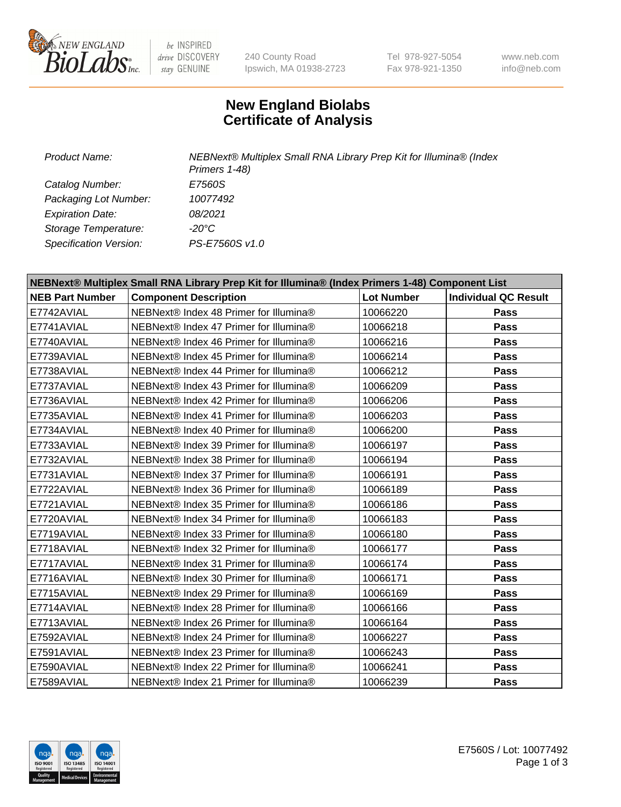

be INSPIRED drive DISCOVERY stay GENUINE

240 County Road Ipswich, MA 01938-2723 Tel 978-927-5054 Fax 978-921-1350

www.neb.com info@neb.com

## **New England Biolabs Certificate of Analysis**

*Product Name: NEBNext® Multiplex Small RNA Library Prep Kit for Illumina® (Index Primers 1-48) Catalog Number: E7560S Packaging Lot Number: 10077492 Expiration Date: 08/2021 Storage Temperature: -20°C Specification Version: PS-E7560S v1.0*

| NEBNext® Multiplex Small RNA Library Prep Kit for Illumina® (Index Primers 1-48) Component List |                                        |                   |                             |  |
|-------------------------------------------------------------------------------------------------|----------------------------------------|-------------------|-----------------------------|--|
| <b>NEB Part Number</b>                                                                          | <b>Component Description</b>           | <b>Lot Number</b> | <b>Individual QC Result</b> |  |
| E7742AVIAL                                                                                      | NEBNext® Index 48 Primer for Illumina® | 10066220          | Pass                        |  |
| E7741AVIAL                                                                                      | NEBNext® Index 47 Primer for Illumina® | 10066218          | Pass                        |  |
| E7740AVIAL                                                                                      | NEBNext® Index 46 Primer for Illumina® | 10066216          | <b>Pass</b>                 |  |
| E7739AVIAL                                                                                      | NEBNext® Index 45 Primer for Illumina® | 10066214          | Pass                        |  |
| E7738AVIAL                                                                                      | NEBNext® Index 44 Primer for Illumina® | 10066212          | Pass                        |  |
| E7737AVIAL                                                                                      | NEBNext® Index 43 Primer for Illumina® | 10066209          | Pass                        |  |
| E7736AVIAL                                                                                      | NEBNext® Index 42 Primer for Illumina® | 10066206          | Pass                        |  |
| E7735AVIAL                                                                                      | NEBNext® Index 41 Primer for Illumina® | 10066203          | <b>Pass</b>                 |  |
| E7734AVIAL                                                                                      | NEBNext® Index 40 Primer for Illumina® | 10066200          | <b>Pass</b>                 |  |
| E7733AVIAL                                                                                      | NEBNext® Index 39 Primer for Illumina® | 10066197          | Pass                        |  |
| E7732AVIAL                                                                                      | NEBNext® Index 38 Primer for Illumina® | 10066194          | Pass                        |  |
| E7731AVIAL                                                                                      | NEBNext® Index 37 Primer for Illumina® | 10066191          | Pass                        |  |
| E7722AVIAL                                                                                      | NEBNext® Index 36 Primer for Illumina® | 10066189          | Pass                        |  |
| E7721AVIAL                                                                                      | NEBNext® Index 35 Primer for Illumina® | 10066186          | <b>Pass</b>                 |  |
| E7720AVIAL                                                                                      | NEBNext® Index 34 Primer for Illumina® | 10066183          | Pass                        |  |
| E7719AVIAL                                                                                      | NEBNext® Index 33 Primer for Illumina® | 10066180          | Pass                        |  |
| E7718AVIAL                                                                                      | NEBNext® Index 32 Primer for Illumina® | 10066177          | Pass                        |  |
| E7717AVIAL                                                                                      | NEBNext® Index 31 Primer for Illumina® | 10066174          | Pass                        |  |
| E7716AVIAL                                                                                      | NEBNext® Index 30 Primer for Illumina® | 10066171          | Pass                        |  |
| E7715AVIAL                                                                                      | NEBNext® Index 29 Primer for Illumina® | 10066169          | Pass                        |  |
| E7714AVIAL                                                                                      | NEBNext® Index 28 Primer for Illumina® | 10066166          | <b>Pass</b>                 |  |
| E7713AVIAL                                                                                      | NEBNext® Index 26 Primer for Illumina® | 10066164          | Pass                        |  |
| E7592AVIAL                                                                                      | NEBNext® Index 24 Primer for Illumina® | 10066227          | <b>Pass</b>                 |  |
| E7591AVIAL                                                                                      | NEBNext® Index 23 Primer for Illumina® | 10066243          | Pass                        |  |
| E7590AVIAL                                                                                      | NEBNext® Index 22 Primer for Illumina® | 10066241          | Pass                        |  |
| E7589AVIAL                                                                                      | NEBNext® Index 21 Primer for Illumina® | 10066239          | Pass                        |  |

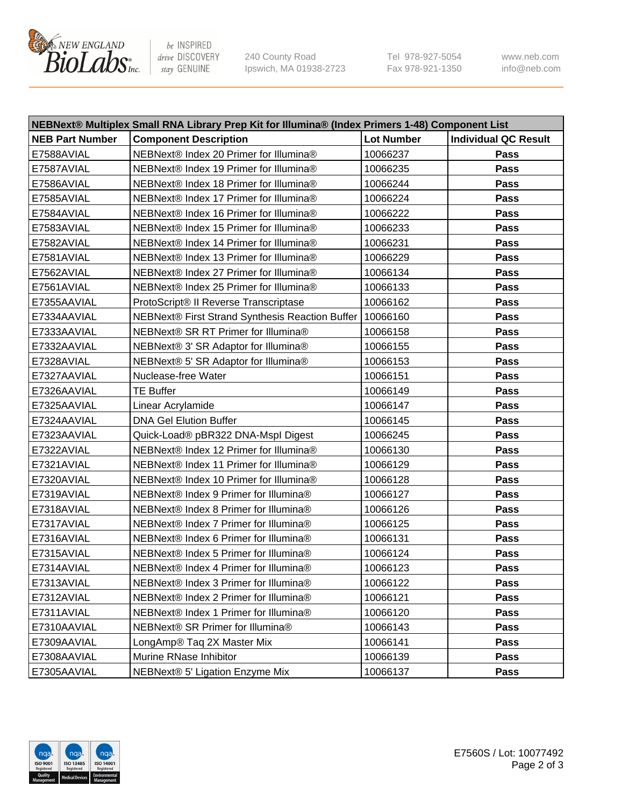

be INSPIRED drive DISCOVERY stay GENUINE

240 County Road Ipswich, MA 01938-2723 Tel 978-927-5054 Fax 978-921-1350 www.neb.com info@neb.com

| NEBNext® Multiplex Small RNA Library Prep Kit for Illumina® (Index Primers 1-48) Component List |                                                            |                   |                             |  |
|-------------------------------------------------------------------------------------------------|------------------------------------------------------------|-------------------|-----------------------------|--|
| <b>NEB Part Number</b>                                                                          | <b>Component Description</b>                               | <b>Lot Number</b> | <b>Individual QC Result</b> |  |
| E7588AVIAL                                                                                      | NEBNext® Index 20 Primer for Illumina®                     | 10066237          | Pass                        |  |
| E7587AVIAL                                                                                      | NEBNext® Index 19 Primer for Illumina®                     | 10066235          | Pass                        |  |
| E7586AVIAL                                                                                      | NEBNext® Index 18 Primer for Illumina®                     | 10066244          | Pass                        |  |
| E7585AVIAL                                                                                      | NEBNext® Index 17 Primer for Illumina®                     | 10066224          | Pass                        |  |
| E7584AVIAL                                                                                      | NEBNext® Index 16 Primer for Illumina®                     | 10066222          | Pass                        |  |
| E7583AVIAL                                                                                      | NEBNext® Index 15 Primer for Illumina®                     | 10066233          | Pass                        |  |
| E7582AVIAL                                                                                      | NEBNext® Index 14 Primer for Illumina®                     | 10066231          | Pass                        |  |
| E7581AVIAL                                                                                      | NEBNext® Index 13 Primer for Illumina®                     | 10066229          | Pass                        |  |
| E7562AVIAL                                                                                      | NEBNext® Index 27 Primer for Illumina®                     | 10066134          | Pass                        |  |
| E7561AVIAL                                                                                      | NEBNext® Index 25 Primer for Illumina®                     | 10066133          | Pass                        |  |
| E7355AAVIAL                                                                                     | ProtoScript® II Reverse Transcriptase                      | 10066162          | Pass                        |  |
| E7334AAVIAL                                                                                     | NEBNext® First Strand Synthesis Reaction Buffer   10066160 |                   | Pass                        |  |
| E7333AAVIAL                                                                                     | NEBNext® SR RT Primer for Illumina®                        | 10066158          | Pass                        |  |
| E7332AAVIAL                                                                                     | NEBNext® 3' SR Adaptor for Illumina®                       | 10066155          | Pass                        |  |
| E7328AVIAL                                                                                      | NEBNext® 5' SR Adaptor for Illumina®                       | 10066153          | Pass                        |  |
| E7327AAVIAL                                                                                     | Nuclease-free Water                                        | 10066151          | Pass                        |  |
| E7326AAVIAL                                                                                     | <b>TE Buffer</b>                                           | 10066149          | Pass                        |  |
| E7325AAVIAL                                                                                     | Linear Acrylamide                                          | 10066147          | Pass                        |  |
| E7324AAVIAL                                                                                     | <b>DNA Gel Elution Buffer</b>                              | 10066145          | Pass                        |  |
| E7323AAVIAL                                                                                     | Quick-Load® pBR322 DNA-Mspl Digest                         | 10066245          | Pass                        |  |
| E7322AVIAL                                                                                      | NEBNext® Index 12 Primer for Illumina®                     | 10066130          | Pass                        |  |
| E7321AVIAL                                                                                      | NEBNext® Index 11 Primer for Illumina®                     | 10066129          | Pass                        |  |
| E7320AVIAL                                                                                      | NEBNext® Index 10 Primer for Illumina®                     | 10066128          | Pass                        |  |
| E7319AVIAL                                                                                      | NEBNext® Index 9 Primer for Illumina®                      | 10066127          | Pass                        |  |
| E7318AVIAL                                                                                      | NEBNext® Index 8 Primer for Illumina®                      | 10066126          | Pass                        |  |
| E7317AVIAL                                                                                      | NEBNext® Index 7 Primer for Illumina®                      | 10066125          | Pass                        |  |
| E7316AVIAL                                                                                      | NEBNext® Index 6 Primer for Illumina®                      | 10066131          | Pass                        |  |
| E7315AVIAL                                                                                      | NEBNext® Index 5 Primer for Illumina®                      | 10066124          | Pass                        |  |
| E7314AVIAL                                                                                      | NEBNext® Index 4 Primer for Illumina®                      | 10066123          | Pass                        |  |
| E7313AVIAL                                                                                      | NEBNext® Index 3 Primer for Illumina®                      | 10066122          | <b>Pass</b>                 |  |
| E7312AVIAL                                                                                      | NEBNext® Index 2 Primer for Illumina®                      | 10066121          | Pass                        |  |
| E7311AVIAL                                                                                      | NEBNext® Index 1 Primer for Illumina®                      | 10066120          | Pass                        |  |
| E7310AAVIAL                                                                                     | NEBNext® SR Primer for Illumina®                           | 10066143          | Pass                        |  |
| E7309AAVIAL                                                                                     | LongAmp® Taq 2X Master Mix                                 | 10066141          | Pass                        |  |
| E7308AAVIAL                                                                                     | Murine RNase Inhibitor                                     | 10066139          | Pass                        |  |
| E7305AAVIAL                                                                                     | NEBNext® 5' Ligation Enzyme Mix                            | 10066137          | Pass                        |  |